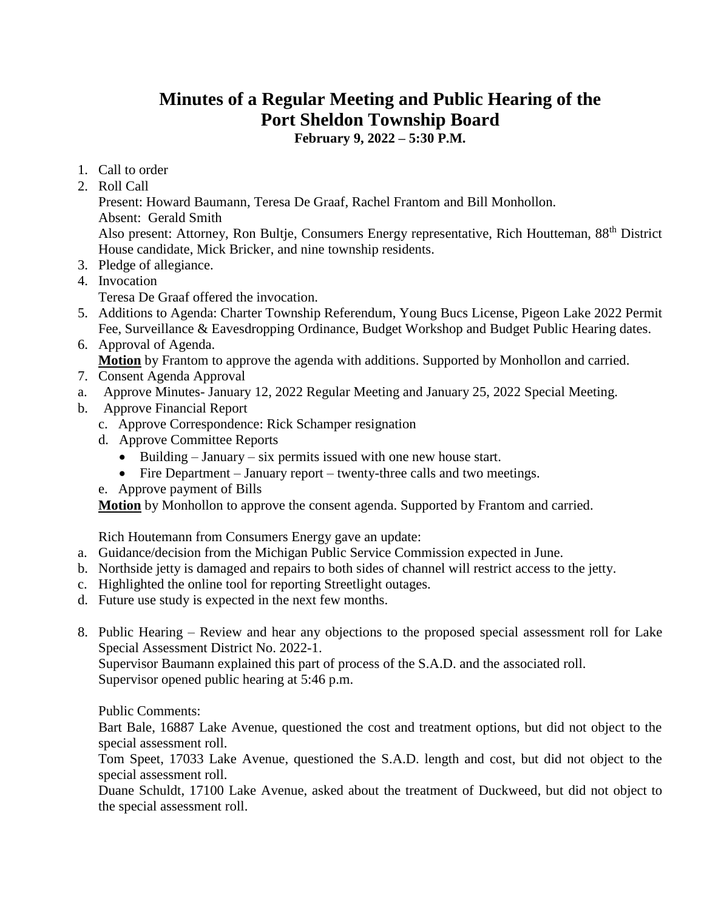## **Minutes of a Regular Meeting and Public Hearing of the Port Sheldon Township Board**

**February 9, 2022 – 5:30 P.M.**

- 1. Call to order
- 2. Roll Call

Present: Howard Baumann, Teresa De Graaf, Rachel Frantom and Bill Monhollon. Absent: Gerald Smith

Also present: Attorney, Ron Bultje, Consumers Energy representative, Rich Houtteman, 88<sup>th</sup> District House candidate, Mick Bricker, and nine township residents.

- 3. Pledge of allegiance.
- 4. Invocation
	- Teresa De Graaf offered the invocation.
- 5. Additions to Agenda: Charter Township Referendum, Young Bucs License, Pigeon Lake 2022 Permit Fee, Surveillance & Eavesdropping Ordinance, Budget Workshop and Budget Public Hearing dates.
- 6. Approval of Agenda.

**Motion** by Frantom to approve the agenda with additions. Supported by Monhollon and carried.

- 7. Consent Agenda Approval
- a. Approve Minutes- January 12, 2022 Regular Meeting and January 25, 2022 Special Meeting.
- b. Approve Financial Report
	- c. Approve Correspondence: Rick Schamper resignation
	- d. Approve Committee Reports
		- Building January six permits issued with one new house start.
		- Fire Department January report twenty-three calls and two meetings.
	- e. Approve payment of Bills

**Motion** by Monhollon to approve the consent agenda. Supported by Frantom and carried.

Rich Houtemann from Consumers Energy gave an update:

- a. Guidance/decision from the Michigan Public Service Commission expected in June.
- b. Northside jetty is damaged and repairs to both sides of channel will restrict access to the jetty.
- c. Highlighted the online tool for reporting Streetlight outages.
- d. Future use study is expected in the next few months.
- 8. Public Hearing Review and hear any objections to the proposed special assessment roll for Lake Special Assessment District No. 2022-1.

Supervisor Baumann explained this part of process of the S.A.D. and the associated roll. Supervisor opened public hearing at 5:46 p.m.

Public Comments:

Bart Bale, 16887 Lake Avenue, questioned the cost and treatment options, but did not object to the special assessment roll.

Tom Speet, 17033 Lake Avenue, questioned the S.A.D. length and cost, but did not object to the special assessment roll.

Duane Schuldt, 17100 Lake Avenue, asked about the treatment of Duckweed, but did not object to the special assessment roll.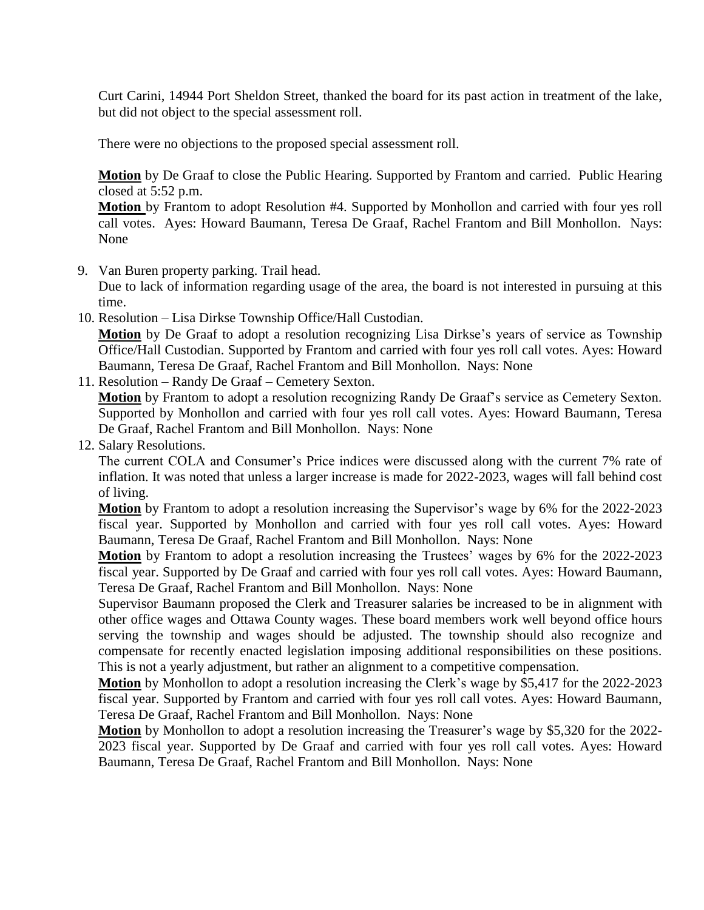Curt Carini, 14944 Port Sheldon Street, thanked the board for its past action in treatment of the lake, but did not object to the special assessment roll.

There were no objections to the proposed special assessment roll.

**Motion** by De Graaf to close the Public Hearing. Supported by Frantom and carried. Public Hearing closed at 5:52 p.m.

**Motion** by Frantom to adopt Resolution #4. Supported by Monhollon and carried with four yes roll call votes. Ayes: Howard Baumann, Teresa De Graaf, Rachel Frantom and Bill Monhollon. Nays: None

9. Van Buren property parking. Trail head.

Due to lack of information regarding usage of the area, the board is not interested in pursuing at this time.

- 10. Resolution Lisa Dirkse Township Office/Hall Custodian. **Motion** by De Graaf to adopt a resolution recognizing Lisa Dirkse's years of service as Township Office/Hall Custodian. Supported by Frantom and carried with four yes roll call votes. Ayes: Howard Baumann, Teresa De Graaf, Rachel Frantom and Bill Monhollon. Nays: None
- 11. Resolution Randy De Graaf Cemetery Sexton.

**Motion** by Frantom to adopt a resolution recognizing Randy De Graaf's service as Cemetery Sexton. Supported by Monhollon and carried with four yes roll call votes. Ayes: Howard Baumann, Teresa De Graaf, Rachel Frantom and Bill Monhollon. Nays: None

12. Salary Resolutions.

The current COLA and Consumer's Price indices were discussed along with the current 7% rate of inflation. It was noted that unless a larger increase is made for 2022-2023, wages will fall behind cost of living.

**Motion** by Frantom to adopt a resolution increasing the Supervisor's wage by 6% for the 2022-2023 fiscal year. Supported by Monhollon and carried with four yes roll call votes. Ayes: Howard Baumann, Teresa De Graaf, Rachel Frantom and Bill Monhollon. Nays: None

**Motion** by Frantom to adopt a resolution increasing the Trustees' wages by 6% for the 2022-2023 fiscal year. Supported by De Graaf and carried with four yes roll call votes. Ayes: Howard Baumann, Teresa De Graaf, Rachel Frantom and Bill Monhollon. Nays: None

Supervisor Baumann proposed the Clerk and Treasurer salaries be increased to be in alignment with other office wages and Ottawa County wages. These board members work well beyond office hours serving the township and wages should be adjusted. The township should also recognize and compensate for recently enacted legislation imposing additional responsibilities on these positions. This is not a yearly adjustment, but rather an alignment to a competitive compensation.

**Motion** by Monhollon to adopt a resolution increasing the Clerk's wage by \$5,417 for the 2022-2023 fiscal year. Supported by Frantom and carried with four yes roll call votes. Ayes: Howard Baumann, Teresa De Graaf, Rachel Frantom and Bill Monhollon. Nays: None

**Motion** by Monhollon to adopt a resolution increasing the Treasurer's wage by \$5,320 for the 2022- 2023 fiscal year. Supported by De Graaf and carried with four yes roll call votes. Ayes: Howard Baumann, Teresa De Graaf, Rachel Frantom and Bill Monhollon. Nays: None